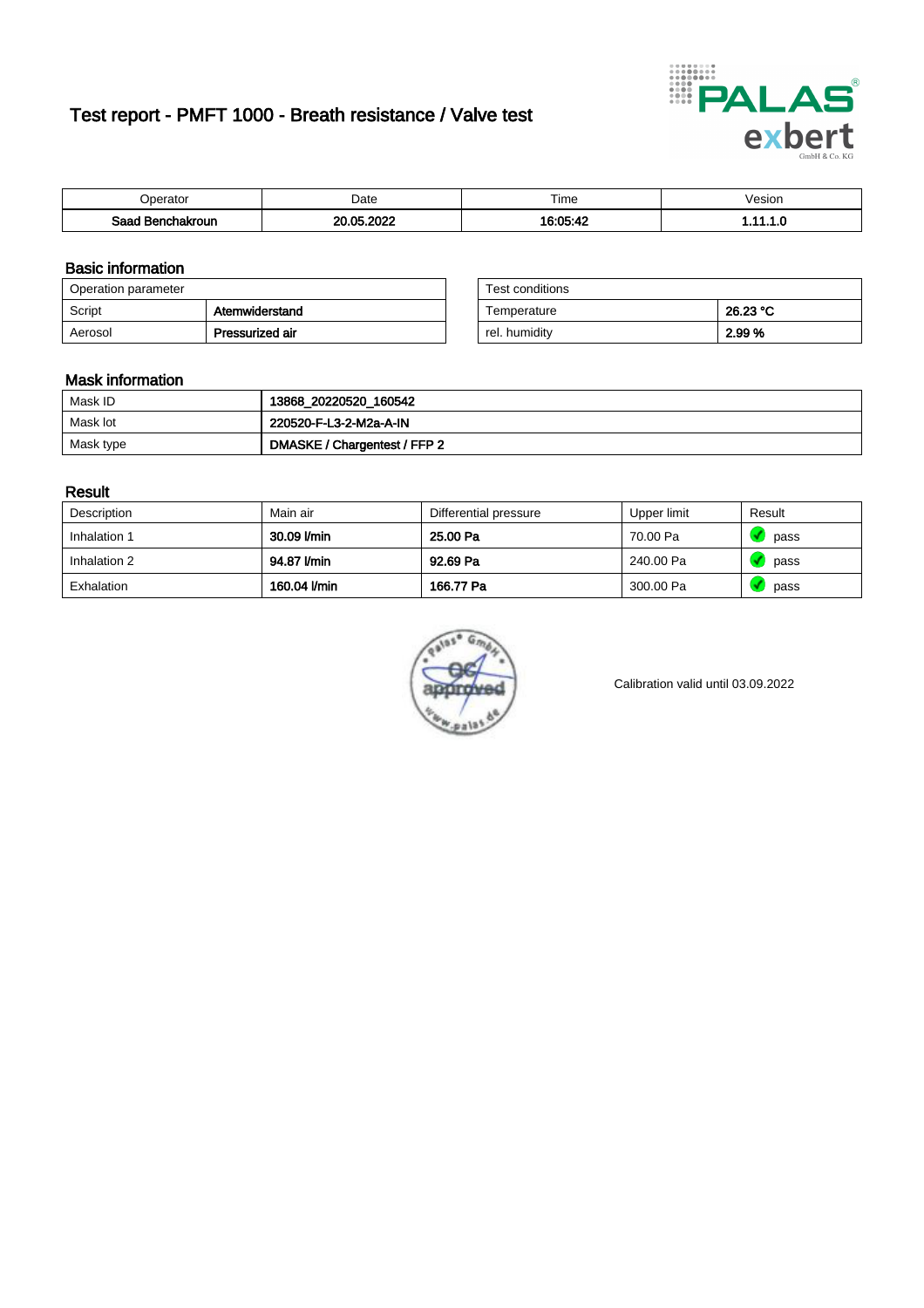# Test report - PMFT 1000 - Breath resistance / Valve test



| <b>'</b> perator               | Date                     | $- \cdot$<br><b>Time</b> | /esion |
|--------------------------------|--------------------------|--------------------------|--------|
| Saad<br><b>chakroun</b><br>. . | ാറാറ<br><b>OF</b><br>ne. | 16.05.1                  | .      |

### Basic information

| Operation parameter |                 | Test conditions |          |
|---------------------|-----------------|-----------------|----------|
| Script              | Atemwiderstand  | Temperature     | 26.23 °C |
| Aerosol             | Pressurized air | rel. humidity   | 2.99 %   |

| Test conditions |          |
|-----------------|----------|
| Temperature     | 26.23 °C |
| rel. humidity   | 2.99%    |

#### Mask information

| Mask ID   | 13868_20220520_160542        |
|-----------|------------------------------|
| Mask lot  | 220520-F-L3-2-M2a-A-IN       |
| Mask type | DMASKE / Chargentest / FFP 2 |

### Result

| Description  | Main air     | Differential pressure | Upper limit | Result |
|--------------|--------------|-----------------------|-------------|--------|
| Inhalation 1 | 30.09 l/min  | 25.00 Pa              | 70.00 Pa    | pass   |
| Inhalation 2 | 94.87 l/min  | 92.69 Pa              | 240.00 Pa   | pass   |
| Exhalation   | 160.04 l/min | 166.77 Pa             | 300.00 Pa   | pass   |



Calibration valid until 03.09.2022